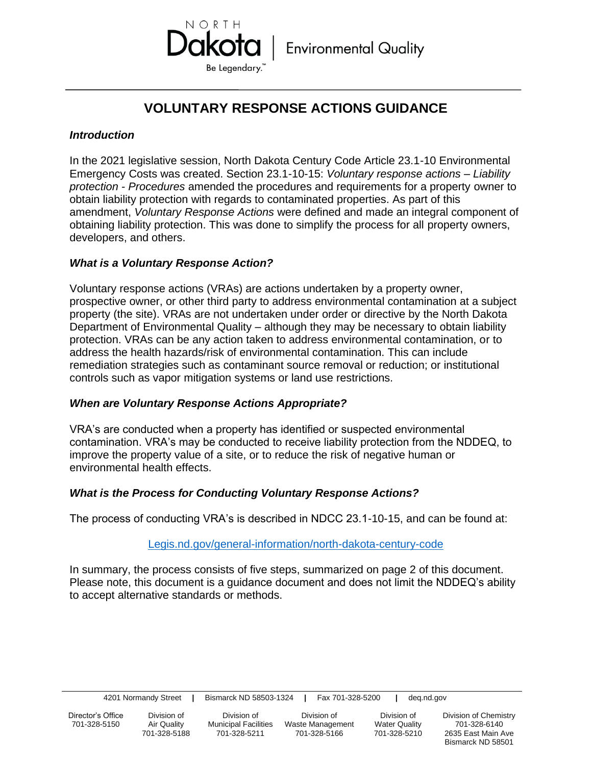

# **VOLUNTARY RESPONSE ACTIONS GUIDANCE**

#### *Introduction*

In the 2021 legislative session, North Dakota Century Code Article 23.1-10 Environmental Emergency Costs was created. Section 23.1-10-15: *Voluntary response actions – Liability protection - Procedures* amended the procedures and requirements for a property owner to obtain liability protection with regards to contaminated properties. As part of this amendment, *Voluntary Response Actions* were defined and made an integral component of obtaining liability protection. This was done to simplify the process for all property owners, developers, and others.

## *What is a Voluntary Response Action?*

Voluntary response actions (VRAs) are actions undertaken by a property owner, prospective owner, or other third party to address environmental contamination at a subject property (the site). VRAs are not undertaken under order or directive by the North Dakota Department of Environmental Quality – although they may be necessary to obtain liability protection. VRAs can be any action taken to address environmental contamination, or to address the health hazards/risk of environmental contamination. This can include remediation strategies such as contaminant source removal or reduction; or institutional controls such as vapor mitigation systems or land use restrictions.

#### *When are Voluntary Response Actions Appropriate?*

VRA's are conducted when a property has identified or suspected environmental contamination. VRA's may be conducted to receive liability protection from the NDDEQ, to improve the property value of a site, or to reduce the risk of negative human or environmental health effects.

#### *What is the Process for Conducting Voluntary Response Actions?*

The process of conducting VRA's is described in NDCC 23.1-10-15, and can be found at:

#### [Legis.nd.gov/general-information/north-dakota-century-code](file:///C:/Users/dkannenberg/EQRF%20NDAC/Legis.nd.gov/general-information/north-dakota-century-code)

In summary, the process consists of five steps, summarized on page 2 of this document. Please note, this document is a guidance document and does not limit the NDDEQ's ability to accept alternative standards or methods.

| 4201 Normandy Street |  | Bismarck ND 58503-1324 |  | Fax 701-328-5200 |  | deq.nd.gov |
|----------------------|--|------------------------|--|------------------|--|------------|
|----------------------|--|------------------------|--|------------------|--|------------|

701-328-5150 Air Quality Municipal Facilities Waste Management Water Quality 701-328-6140

Director's Office Division of Division of Division of Division of Division of Chemistry

701-328-5188 701-328-5211 701-328-5166 701-328-5210 2635 East Main Ave Bismarck ND 58501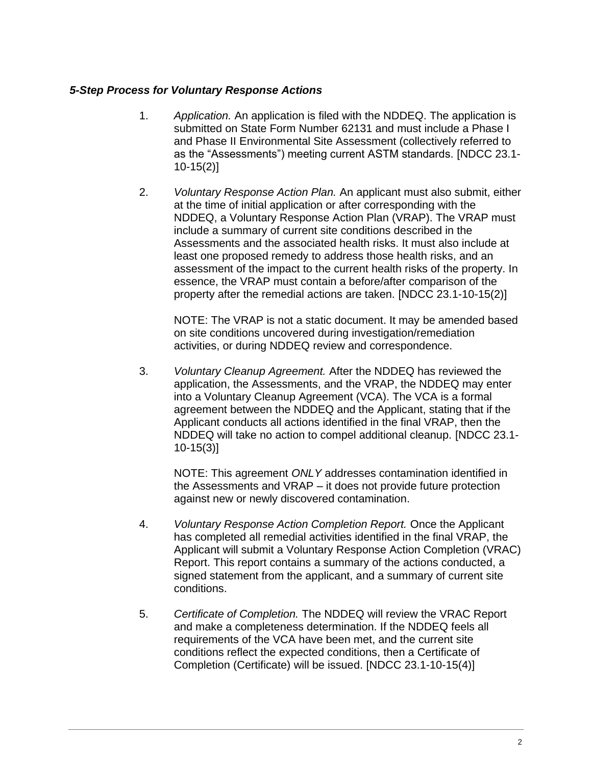### *5-Step Process for Voluntary Response Actions*

- 1. *Application.* An application is filed with the NDDEQ. The application is submitted on State Form Number 62131 and must include a Phase I and Phase II Environmental Site Assessment (collectively referred to as the "Assessments") meeting current ASTM standards. [NDCC 23.1- 10-15(2)]
- 2. *Voluntary Response Action Plan.* An applicant must also submit, either at the time of initial application or after corresponding with the NDDEQ, a Voluntary Response Action Plan (VRAP). The VRAP must include a summary of current site conditions described in the Assessments and the associated health risks. It must also include at least one proposed remedy to address those health risks, and an assessment of the impact to the current health risks of the property. In essence, the VRAP must contain a before/after comparison of the property after the remedial actions are taken. [NDCC 23.1-10-15(2)]

NOTE: The VRAP is not a static document. It may be amended based on site conditions uncovered during investigation/remediation activities, or during NDDEQ review and correspondence.

3. *Voluntary Cleanup Agreement.* After the NDDEQ has reviewed the application, the Assessments, and the VRAP, the NDDEQ may enter into a Voluntary Cleanup Agreement (VCA). The VCA is a formal agreement between the NDDEQ and the Applicant, stating that if the Applicant conducts all actions identified in the final VRAP, then the NDDEQ will take no action to compel additional cleanup. [NDCC 23.1- 10-15(3)]

NOTE: This agreement *ONLY* addresses contamination identified in the Assessments and VRAP – it does not provide future protection against new or newly discovered contamination.

- 4. *Voluntary Response Action Completion Report.* Once the Applicant has completed all remedial activities identified in the final VRAP, the Applicant will submit a Voluntary Response Action Completion (VRAC) Report. This report contains a summary of the actions conducted, a signed statement from the applicant, and a summary of current site conditions.
- 5. *Certificate of Completion.* The NDDEQ will review the VRAC Report and make a completeness determination. If the NDDEQ feels all requirements of the VCA have been met, and the current site conditions reflect the expected conditions, then a Certificate of Completion (Certificate) will be issued. [NDCC 23.1-10-15(4)]